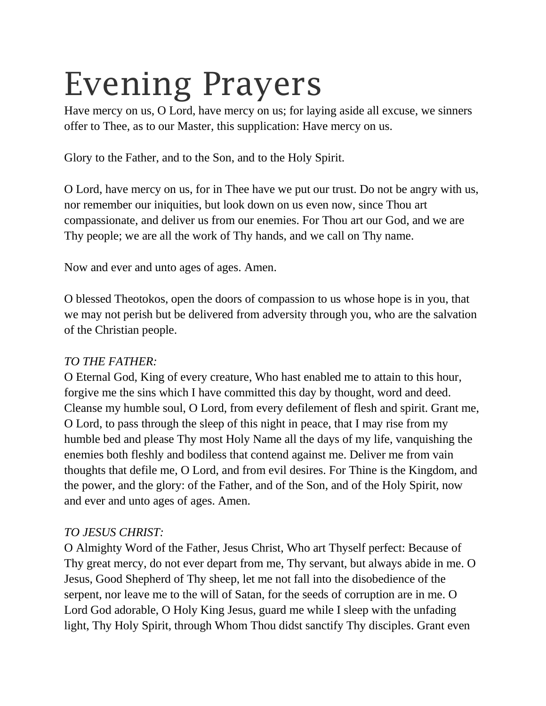# Evening Prayers

Have mercy on us, O Lord, have mercy on us; for laying aside all excuse, we sinners offer to Thee, as to our Master, this supplication: Have mercy on us.

Glory to the Father, and to the Son, and to the Holy Spirit.

O Lord, have mercy on us, for in Thee have we put our trust. Do not be angry with us, nor remember our iniquities, but look down on us even now, since Thou art compassionate, and deliver us from our enemies. For Thou art our God, and we are Thy people; we are all the work of Thy hands, and we call on Thy name.

Now and ever and unto ages of ages. Amen.

O blessed Theotokos, open the doors of compassion to us whose hope is in you, that we may not perish but be delivered from adversity through you, who are the salvation of the Christian people.

## *TO THE FATHER:*

O Eternal God, King of every creature, Who hast enabled me to attain to this hour, forgive me the sins which I have committed this day by thought, word and deed. Cleanse my humble soul, O Lord, from every defilement of flesh and spirit. Grant me, O Lord, to pass through the sleep of this night in peace, that I may rise from my humble bed and please Thy most Holy Name all the days of my life, vanquishing the enemies both fleshly and bodiless that contend against me. Deliver me from vain thoughts that defile me, O Lord, and from evil desires. For Thine is the Kingdom, and the power, and the glory: of the Father, and of the Son, and of the Holy Spirit, now and ever and unto ages of ages. Amen.

## *TO JESUS CHRIST:*

O Almighty Word of the Father, Jesus Christ, Who art Thyself perfect: Because of Thy great mercy, do not ever depart from me, Thy servant, but always abide in me. O Jesus, Good Shepherd of Thy sheep, let me not fall into the disobedience of the serpent, nor leave me to the will of Satan, for the seeds of corruption are in me. O Lord God adorable, O Holy King Jesus, guard me while I sleep with the unfading light, Thy Holy Spirit, through Whom Thou didst sanctify Thy disciples. Grant even